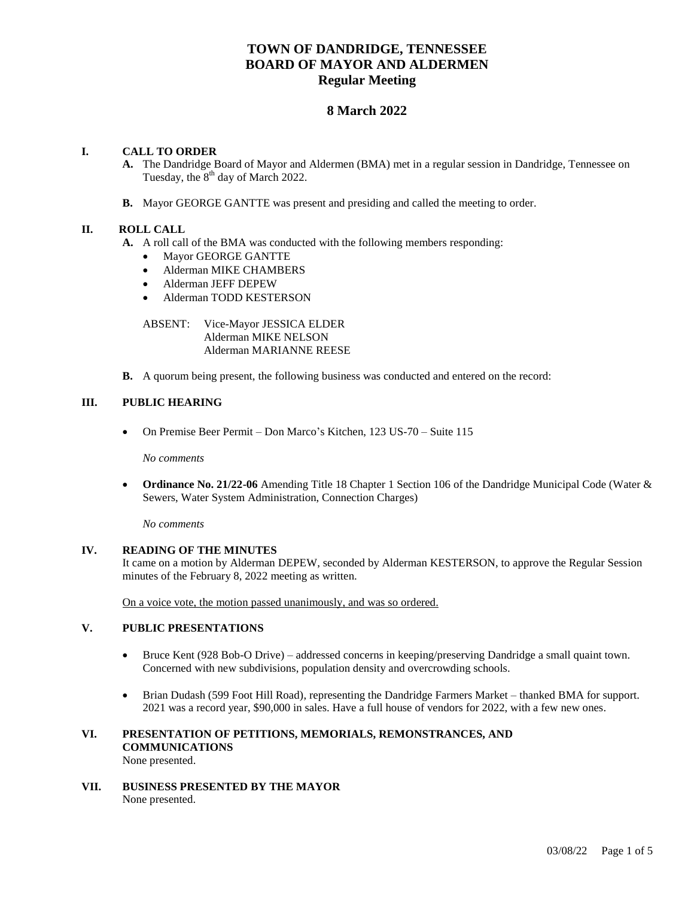# **TOWN OF DANDRIDGE, TENNESSEE BOARD OF MAYOR AND ALDERMEN Regular Meeting**

# **8 March 2022**

# **I. CALL TO ORDER**

- **A.** The Dandridge Board of Mayor and Aldermen (BMA) met in a regular session in Dandridge, Tennessee on Tuesday, the  $8<sup>th</sup>$  day of March 2022.
- **B.** Mayor GEORGE GANTTE was present and presiding and called the meeting to order.

## **II. ROLL CALL**

- **A.** A roll call of the BMA was conducted with the following members responding:
	- Mayor GEORGE GANTTE
	- Alderman MIKE CHAMBERS
	- Alderman JEFF DEPEW
	- Alderman TODD KESTERSON

ABSENT: Vice-Mayor JESSICA ELDER Alderman MIKE NELSON Alderman MARIANNE REESE

**B.** A quorum being present, the following business was conducted and entered on the record:

## **III. PUBLIC HEARING**

On Premise Beer Permit – Don Marco's Kitchen, 123 US-70 – Suite 115

*No comments*

 **Ordinance No. 21/22-06** Amending Title 18 Chapter 1 Section 106 of the Dandridge Municipal Code (Water & Sewers, Water System Administration, Connection Charges)

*No comments*

# **IV. READING OF THE MINUTES**

It came on a motion by Alderman DEPEW, seconded by Alderman KESTERSON, to approve the Regular Session minutes of the February 8, 2022 meeting as written.

On a voice vote, the motion passed unanimously, and was so ordered.

## **V. PUBLIC PRESENTATIONS**

- Bruce Kent (928 Bob-O Drive) addressed concerns in keeping/preserving Dandridge a small quaint town. Concerned with new subdivisions, population density and overcrowding schools.
- Brian Dudash (599 Foot Hill Road), representing the Dandridge Farmers Market thanked BMA for support. 2021 was a record year, \$90,000 in sales. Have a full house of vendors for 2022, with a few new ones.

#### **VI. PRESENTATION OF PETITIONS, MEMORIALS, REMONSTRANCES, AND COMMUNICATIONS** None presented.

**VII. BUSINESS PRESENTED BY THE MAYOR** None presented.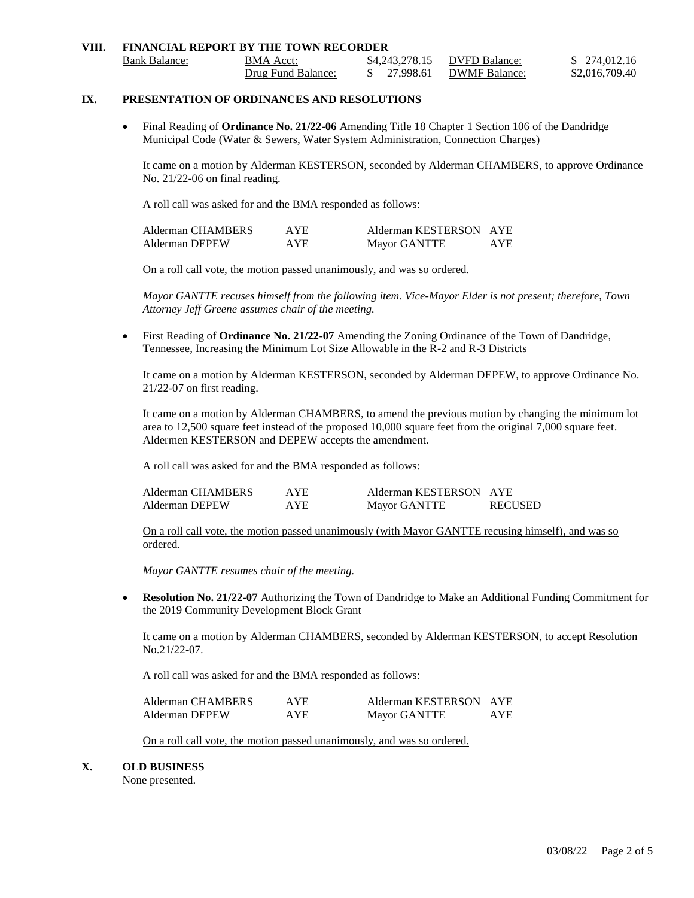| VIII. | <b>FINANCIAL REPORT BY THE TOWN RECORDER</b> |                    |              |                              |                |
|-------|----------------------------------------------|--------------------|--------------|------------------------------|----------------|
|       | Bank Balance:                                | BMA Acct:          |              | \$4.243.278.15 DVFD Balance: | \$ 274,012.16  |
|       |                                              | Drug Fund Balance: | \$ 27,998.61 | <b>DWMF Balance:</b>         | \$2,016,709.40 |

# **IX. PRESENTATION OF ORDINANCES AND RESOLUTIONS**

 Final Reading of **Ordinance No. 21/22-06** Amending Title 18 Chapter 1 Section 106 of the Dandridge Municipal Code (Water & Sewers, Water System Administration, Connection Charges)

It came on a motion by Alderman KESTERSON, seconded by Alderman CHAMBERS, to approve Ordinance No. 21/22-06 on final reading.

A roll call was asked for and the BMA responded as follows:

| Alderman CHAMBERS | AYE. | Alderman KESTERSON AYE |      |
|-------------------|------|------------------------|------|
| Alderman DEPEW    | AYE. | Mayor GANTTE           | AYE. |

On a roll call vote, the motion passed unanimously, and was so ordered.

*Mayor GANTTE recuses himself from the following item. Vice-Mayor Elder is not present; therefore, Town Attorney Jeff Greene assumes chair of the meeting.*

 First Reading of **Ordinance No. 21/22-07** Amending the Zoning Ordinance of the Town of Dandridge, Tennessee, Increasing the Minimum Lot Size Allowable in the R-2 and R-3 Districts

It came on a motion by Alderman KESTERSON, seconded by Alderman DEPEW, to approve Ordinance No. 21/22-07 on first reading.

It came on a motion by Alderman CHAMBERS, to amend the previous motion by changing the minimum lot area to 12,500 square feet instead of the proposed 10,000 square feet from the original 7,000 square feet. Aldermen KESTERSON and DEPEW accepts the amendment.

A roll call was asked for and the BMA responded as follows:

| Alderman CHAMBERS | <b>AYE</b> | Alderman KESTERSON AYE |                |
|-------------------|------------|------------------------|----------------|
| Alderman DEPEW    | <b>AYE</b> | Mayor GANTTE           | <b>RECUSED</b> |

On a roll call vote, the motion passed unanimously (with Mayor GANTTE recusing himself), and was so ordered.

*Mayor GANTTE resumes chair of the meeting.*

 **Resolution No. 21/22-07** Authorizing the Town of Dandridge to Make an Additional Funding Commitment for the 2019 Community Development Block Grant

It came on a motion by Alderman CHAMBERS, seconded by Alderman KESTERSON, to accept Resolution No.21/22-07.

A roll call was asked for and the BMA responded as follows:

| Alderman CHAMBERS | AYE. | Alderman KESTERSON AYE |            |
|-------------------|------|------------------------|------------|
| Alderman DEPEW    | AYE. | Mayor GANTTE           | <b>AYE</b> |

On a roll call vote, the motion passed unanimously, and was so ordered.

#### **X. OLD BUSINESS**

None presented.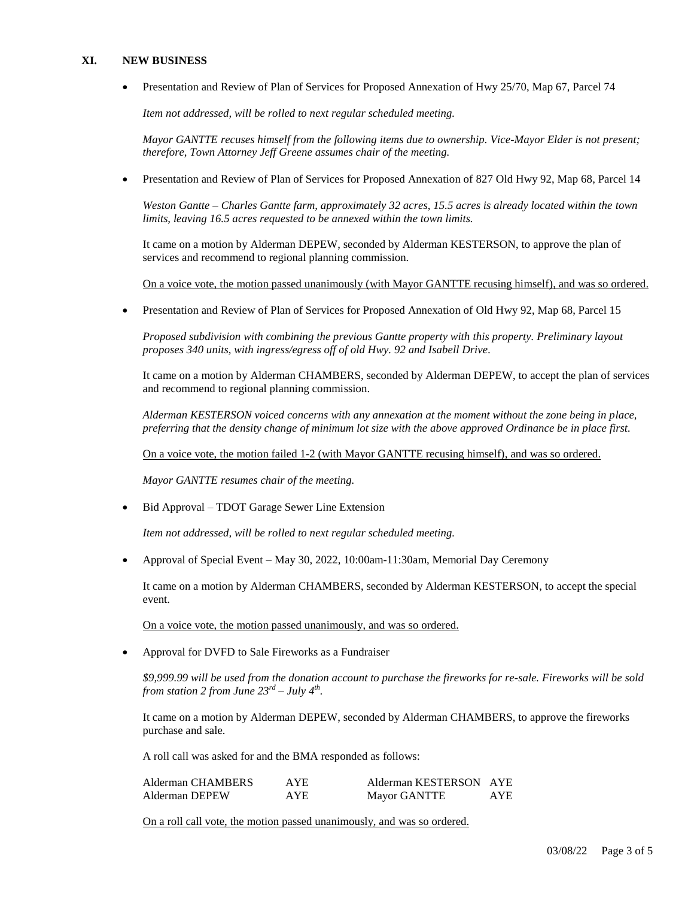#### **XI. NEW BUSINESS**

Presentation and Review of Plan of Services for Proposed Annexation of Hwy 25/70, Map 67, Parcel 74

*Item not addressed, will be rolled to next regular scheduled meeting.* 

*Mayor GANTTE recuses himself from the following items due to ownership. Vice-Mayor Elder is not present; therefore, Town Attorney Jeff Greene assumes chair of the meeting.*

Presentation and Review of Plan of Services for Proposed Annexation of 827 Old Hwy 92, Map 68, Parcel 14

*Weston Gantte – Charles Gantte farm, approximately 32 acres, 15.5 acres is already located within the town limits, leaving 16.5 acres requested to be annexed within the town limits.* 

It came on a motion by Alderman DEPEW, seconded by Alderman KESTERSON, to approve the plan of services and recommend to regional planning commission.

On a voice vote, the motion passed unanimously (with Mayor GANTTE recusing himself), and was so ordered.

Presentation and Review of Plan of Services for Proposed Annexation of Old Hwy 92, Map 68, Parcel 15

*Proposed subdivision with combining the previous Gantte property with this property. Preliminary layout proposes 340 units, with ingress/egress off of old Hwy. 92 and Isabell Drive.* 

It came on a motion by Alderman CHAMBERS, seconded by Alderman DEPEW, to accept the plan of services and recommend to regional planning commission.

*Alderman KESTERSON voiced concerns with any annexation at the moment without the zone being in place, preferring that the density change of minimum lot size with the above approved Ordinance be in place first.* 

On a voice vote, the motion failed 1-2 (with Mayor GANTTE recusing himself), and was so ordered.

*Mayor GANTTE resumes chair of the meeting.*

Bid Approval – TDOT Garage Sewer Line Extension

*Item not addressed, will be rolled to next regular scheduled meeting.*

Approval of Special Event – May 30, 2022, 10:00am-11:30am, Memorial Day Ceremony

It came on a motion by Alderman CHAMBERS, seconded by Alderman KESTERSON, to accept the special event.

On a voice vote, the motion passed unanimously, and was so ordered.

Approval for DVFD to Sale Fireworks as a Fundraiser

*\$9,999.99 will be used from the donation account to purchase the fireworks for re-sale. Fireworks will be sold from station 2 from June*  $23^{rd}$  *– July*  $4^{th}$ *.* 

It came on a motion by Alderman DEPEW, seconded by Alderman CHAMBERS, to approve the fireworks purchase and sale.

A roll call was asked for and the BMA responded as follows:

| Alderman CHAMBERS | AYE. | Alderman KESTERSON AYE |            |
|-------------------|------|------------------------|------------|
| Alderman DEPEW    | AYE. | Mayor GANTTE           | <b>AYE</b> |

On a roll call vote, the motion passed unanimously, and was so ordered.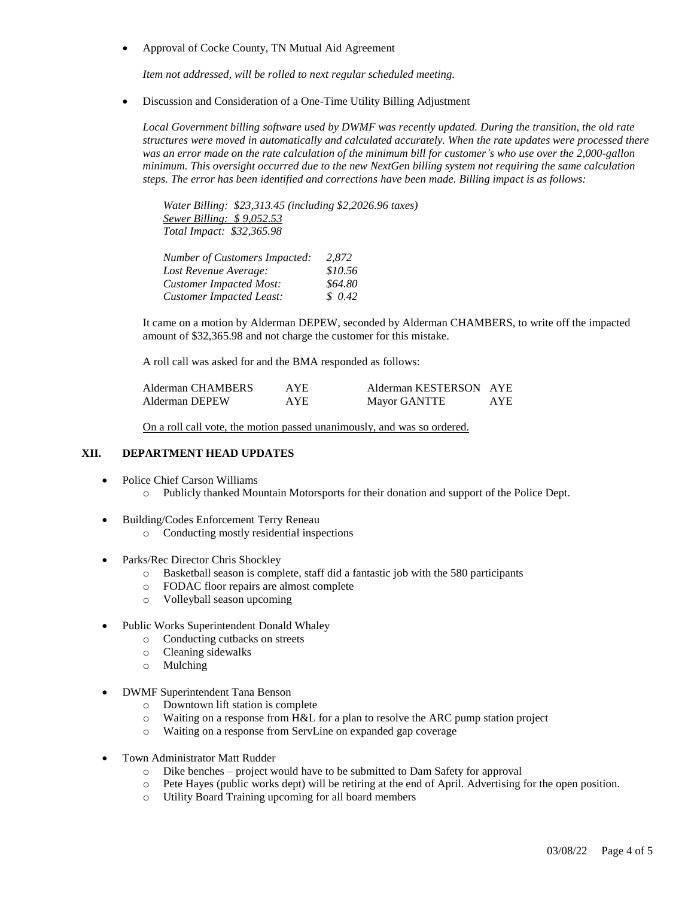• Approval of Cocke County, TN Mutual Aid Agreement

*Item not addressed, will be rolled to next regular scheduled meeting.*

Discussion and Consideration of a One-Time Utility Billing Adjustment

*Local Government billing software used by DWMF was recently updated. During the transition, the old rate structures were moved in automatically and calculated accurately. When the rate updates were processed there was an error made on the rate calculation of the minimum bill for customer's who use over the 2,000-gallon minimum. This oversight occurred due to the new NextGen billing system not requiring the same calculation steps. The error has been identified and corrections have been made. Billing impact is as follows:*

*Water Billing: \$23,313.45 (including \$2,2026.96 taxes) Sewer Billing: \$ 9,052.53 Total Impact: \$32,365.98*

| <b>Number of Customers Impacted:</b> | 2.872   |
|--------------------------------------|---------|
| Lost Revenue Average:                | \$10.56 |
| <b>Customer Impacted Most:</b>       | \$64.80 |
| <b>Customer Impacted Least:</b>      | \$0.42  |

It came on a motion by Alderman DEPEW, seconded by Alderman CHAMBERS, to write off the impacted amount of \$32,365.98 and not charge the customer for this mistake.

A roll call was asked for and the BMA responded as follows:

| Alderman CHAMBERS | AYE. | Alderman KESTERSON AYE |      |
|-------------------|------|------------------------|------|
| Alderman DEPEW    | AYE  | Mayor GANTTE           | AYE. |

On a roll call vote, the motion passed unanimously, and was so ordered.

### **XII. DEPARTMENT HEAD UPDATES**

- Police Chief Carson Williams
	- o Publicly thanked Mountain Motorsports for their donation and support of the Police Dept.
- Building/Codes Enforcement Terry Reneau
	- o Conducting mostly residential inspections
- Parks/Rec Director Chris Shockley
	- o Basketball season is complete, staff did a fantastic job with the 580 participants
	- o FODAC floor repairs are almost complete
	- o Volleyball season upcoming
- Public Works Superintendent Donald Whaley
	- o Conducting cutbacks on streets
	- o Cleaning sidewalks
	- o Mulching
- DWMF Superintendent Tana Benson
	- o Downtown lift station is complete
	- o Waiting on a response from H&L for a plan to resolve the ARC pump station project
	- o Waiting on a response from ServLine on expanded gap coverage
- Town Administrator Matt Rudder
	- o Dike benches project would have to be submitted to Dam Safety for approval
	- o Pete Hayes (public works dept) will be retiring at the end of April. Advertising for the open position.
	- o Utility Board Training upcoming for all board members